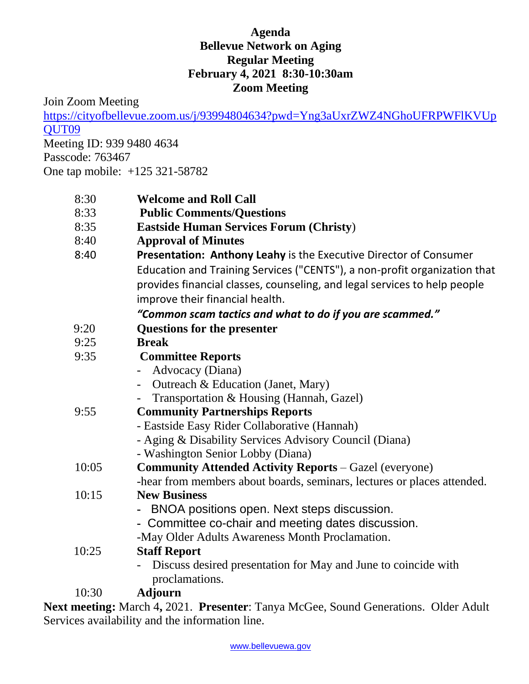## **Agenda Bellevue Network on Aging Regular Meeting February 4, 2021 8:30-10:30am Zoom Meeting**

Join Zoom Meeting

[https://cityofbellevue.zoom.us/j/93994804634?pwd=Yng3aUxrZWZ4NGhoUFRPWFlKVUp](https://cityofbellevue.zoom.us/j/93994804634?pwd=Yng3aUxrZWZ4NGhoUFRPWFlKVUpQUT09) [QUT09](https://cityofbellevue.zoom.us/j/93994804634?pwd=Yng3aUxrZWZ4NGhoUFRPWFlKVUpQUT09)

Meeting ID: 939 9480 4634 Passcode: 763467 One tap mobile: +125 321-58782

| 8:30 | <b>Welcome and Roll Call</b> |  |
|------|------------------------------|--|
|      |                              |  |

- 8:33 **Public Comments/Questions**
- 8:35 **Eastside Human Services Forum (Christy**)
- 8:40 **Approval of Minutes**
- 8:40 **Presentation: Anthony Leahy** is the Executive Director of Consumer Education and Training Services ("CENTS"), a non-profit organization that provides financial classes, counseling, and legal services to help people improve their financial health.

## *"Common scam tactics and what to do if you are scammed."*

- 9:20 **Questions for the presenter**
- 9:25 **Break**

| 9:35  | <b>Committee Reports</b>                                                |
|-------|-------------------------------------------------------------------------|
|       | Advocacy (Diana)                                                        |
|       | Outreach & Education (Janet, Mary)                                      |
|       | Transportation & Housing (Hannah, Gazel)                                |
| 9:55  | <b>Community Partnerships Reports</b>                                   |
|       | - Eastside Easy Rider Collaborative (Hannah)                            |
|       | - Aging & Disability Services Advisory Council (Diana)                  |
|       | - Washington Senior Lobby (Diana)                                       |
| 10:05 | <b>Community Attended Activity Reports - Gazel (everyone)</b>           |
|       | -hear from members about boards, seminars, lectures or places attended. |
| 10:15 | <b>New Business</b>                                                     |
|       | - BNOA positions open. Next steps discussion.                           |
|       | - Committee co-chair and meeting dates discussion.                      |
|       | -May Older Adults Awareness Month Proclamation.                         |
| 10:25 | <b>Staff Report</b>                                                     |
|       |                                                                         |

- Discuss desired presentation for May and June to coincide with proclamations.

10:30 **Adjourn**

**Next meeting:** March 4**,** 2021. **Presenter**: Tanya McGee, Sound Generations. Older Adult Services availability and the information line.